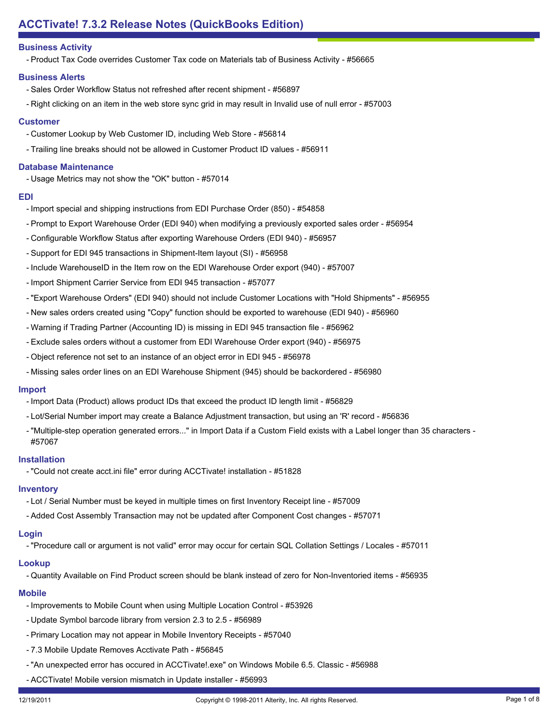# **ACCTivate! 7.3.2 Release Notes (QuickBooks Edition)**

# **Business Activity**

- Product Tax Code overrides Customer Tax code on Materials tab of Business Activity - #56665

#### **Business Alerts**

- Sales Order Workflow Status not refreshed after recent shipment #56897
- Right clicking on an item in the web store sync grid in may result in Invalid use of null error #57003

#### **Customer**

- Customer Lookup by Web Customer ID, including Web Store #56814
- Trailing line breaks should not be allowed in Customer Product ID values #56911

#### **Database Maintenance**

- Usage Metrics may not show the "OK" button - #57014

#### **EDI**

- Import special and shipping instructions from EDI Purchase Order (850) #54858
- Prompt to Export Warehouse Order (EDI 940) when modifying a previously exported sales order #56954
- Configurable Workflow Status after exporting Warehouse Orders (EDI 940) #56957
- Support for EDI 945 transactions in Shipment-Item layout (SI) #56958
- Include WarehouseID in the Item row on the EDI Warehouse Order export (940) #57007
- Import Shipment Carrier Service from EDI 945 transaction #57077
- "Export Warehouse Orders" (EDI 940) should not include Customer Locations with "Hold Shipments" #56955
- New sales orders created using "Copy" function should be exported to warehouse (EDI 940) #56960
- Warning if Trading Partner (Accounting ID) is missing in EDI 945 transaction file #56962
- Exclude sales orders without a customer from EDI Warehouse Order export (940) #56975
- Object reference not set to an instance of an object error in EDI 945 #56978
- Missing sales order lines on an EDI Warehouse Shipment (945) should be backordered #56980

#### **Import**

- Import Data (Product) allows product IDs that exceed the product ID length limit #56829
- Lot/Serial Number import may create a Balance Adjustment transaction, but using an 'R' record #56836
- "Multiple-step operation generated errors..." in Import Data if a Custom Field exists with a Label longer than 35 characters -#57067

#### **Installation**

- "Could not create acct.ini file" error during ACCTivate! installation - #51828

#### **Inventory**

- Lot / Serial Number must be keyed in multiple times on first Inventory Receipt line #57009
- Added Cost Assembly Transaction may not be updated after Component Cost changes #57071

# **Login**

- "Procedure call or argument is not valid" error may occur for certain SQL Collation Settings / Locales - #57011

# **Lookup**

- Quantity Available on Find Product screen should be blank instead of zero for Non-Inventoried items - #56935

#### **Mobile**

- Improvements to Mobile Count when using Multiple Location Control #53926
- Update Symbol barcode library from version 2.3 to 2.5 #56989
- Primary Location may not appear in Mobile Inventory Receipts #57040
- 7.3 Mobile Update Removes Acctivate Path #56845
- "An unexpected error has occured in ACCTivate!.exe" on Windows Mobile 6.5. Classic #56988
- ACCTivate! Mobile version mismatch in Update installer #56993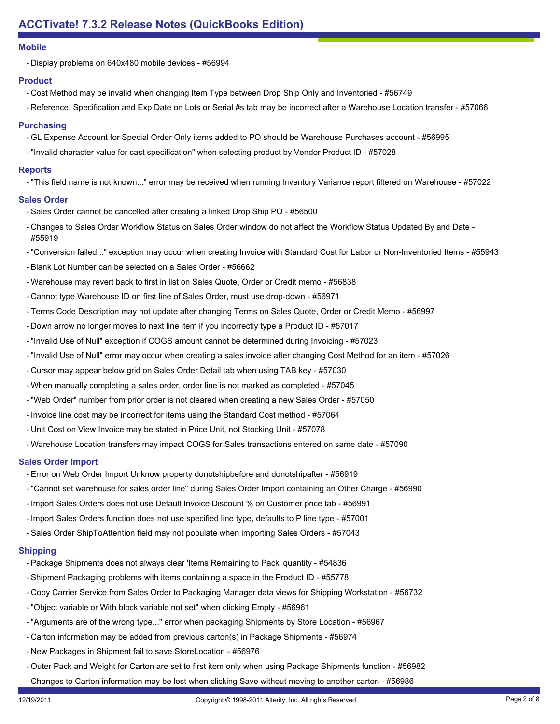#### **Mobile**

- Display problems on 640x480 mobile devices - #56994

# **Product**

- Cost Method may be invalid when changing Item Type between Drop Ship Only and Inventoried #56749
- Reference, Specification and Exp Date on Lots or Serial #s tab may be incorrect after a Warehouse Location transfer #57066

# **Purchasing**

- GL Expense Account for Special Order Only items added to PO should be Warehouse Purchases account #56995
- "Invalid character value for cast specification" when selecting product by Vendor Product ID #57028

# **Reports**

- "This field name is not known..." error may be received when running Inventory Variance report filtered on Warehouse - #57022

# **Sales Order**

- Sales Order cannot be cancelled after creating a linked Drop Ship PO #56500
- Changes to Sales Order Workflow Status on Sales Order window do not affect the Workflow Status Updated By and Date -#55919
- "Conversion failed..." exception may occur when creating Invoice with Standard Cost for Labor or Non-Inventoried Items #55943
- Blank Lot Number can be selected on a Sales Order #56662
- Warehouse may revert back to first in list on Sales Quote, Order or Credit memo #56838
- Cannot type Warehouse ID on first line of Sales Order, must use drop-down #56971
- Terms Code Description may not update after changing Terms on Sales Quote, Order or Credit Memo #56997
- Down arrow no longer moves to next line item if you incorrectly type a Product ID #57017
- "Invalid Use of Null" exception if COGS amount cannot be determined during Invoicing #57023
- "Invalid Use of Null" error may occur when creating a sales invoice after changing Cost Method for an item #57026
- Cursor may appear below grid on Sales Order Detail tab when using TAB key #57030
- When manually completing a sales order, order line is not marked as completed #57045
- "Web Order" number from prior order is not cleared when creating a new Sales Order #57050
- Invoice line cost may be incorrect for items using the Standard Cost method #57064
- Unit Cost on View Invoice may be stated in Price Unit, not Stocking Unit #57078
- Warehouse Location transfers may impact COGS for Sales transactions entered on same date #57090

# **Sales Order Import**

- Error on Web Order Import Unknow property donotshipbefore and donotshipafter #56919
- "Cannot set warehouse for sales order line" during Sales Order Import containing an Other Charge #56990
- Import Sales Orders does not use Default Invoice Discount % on Customer price tab #56991
- Import Sales Orders function does not use specified line type, defaults to P line type #57001
- Sales Order ShipToAttention field may not populate when importing Sales Orders #57043

# **Shipping**

- Package Shipments does not always clear 'Items Remaining to Pack' quantity #54836
- Shipment Packaging problems with items containing a space in the Product ID #55778
- Copy Carrier Service from Sales Order to Packaging Manager data views for Shipping Workstation #56732
- "Object variable or With block variable not set" when clicking Empty #56961
- "Arguments are of the wrong type..." error when packaging Shipments by Store Location #56967
- Carton information may be added from previous carton(s) in Package Shipments #56974
- New Packages in Shipment fail to save StoreLocation #56976
- Outer Pack and Weight for Carton are set to first item only when using Package Shipments function #56982
- Changes to Carton information may be lost when clicking Save without moving to another carton #56986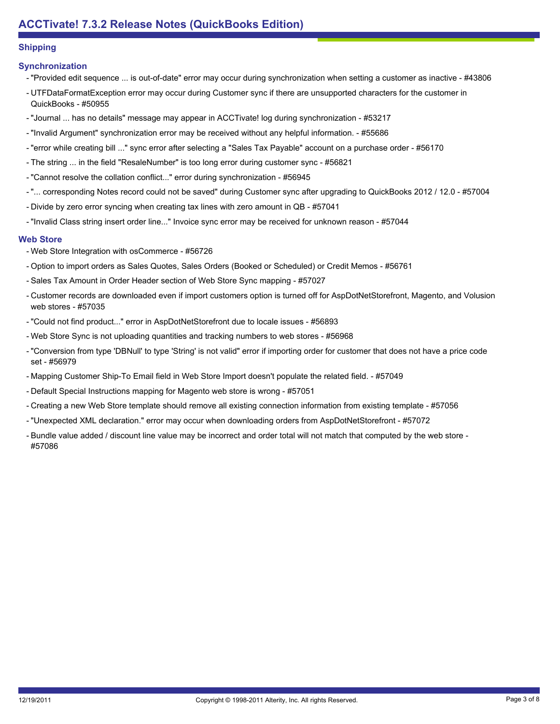# **Shipping**

# **Synchronization**

- "Provided edit sequence ... is out-of-date" error may occur during synchronization when setting a customer as inactive #43806
- UTFDataFormatException error may occur during Customer sync if there are unsupported characters for the customer in QuickBooks - #50955
- "Journal ... has no details" message may appear in ACCTivate! log during synchronization #53217
- "Invalid Argument" synchronization error may be received without any helpful information. #55686
- "error while creating bill ..." sync error after selecting a "Sales Tax Payable" account on a purchase order #56170
- The string ... in the field "ResaleNumber" is too long error during customer sync #56821
- "Cannot resolve the collation conflict..." error during synchronization #56945
- "... corresponding Notes record could not be saved" during Customer sync after upgrading to QuickBooks 2012 / 12.0 #57004
- Divide by zero error syncing when creating tax lines with zero amount in QB #57041
- "Invalid Class string insert order line..." Invoice sync error may be received for unknown reason #57044

# **Web Store**

- Web Store Integration with osCommerce #56726
- Option to import orders as Sales Quotes, Sales Orders (Booked or Scheduled) or Credit Memos #56761
- Sales Tax Amount in Order Header section of Web Store Sync mapping #57027
- Customer records are downloaded even if import customers option is turned off for AspDotNetStorefront, Magento, and Volusion web stores - #57035
- "Could not find product..." error in AspDotNetStorefront due to locale issues #56893
- Web Store Sync is not uploading quantities and tracking numbers to web stores #56968
- "Conversion from type 'DBNull' to type 'String' is not valid" error if importing order for customer that does not have a price code set - #56979
- Mapping Customer Ship-To Email field in Web Store Import doesn't populate the related field. #57049
- Default Special Instructions mapping for Magento web store is wrong #57051
- Creating a new Web Store template should remove all existing connection information from existing template #57056
- "Unexpected XML declaration." error may occur when downloading orders from AspDotNetStorefront #57072
- Bundle value added / discount line value may be incorrect and order total will not match that computed by the web store -#57086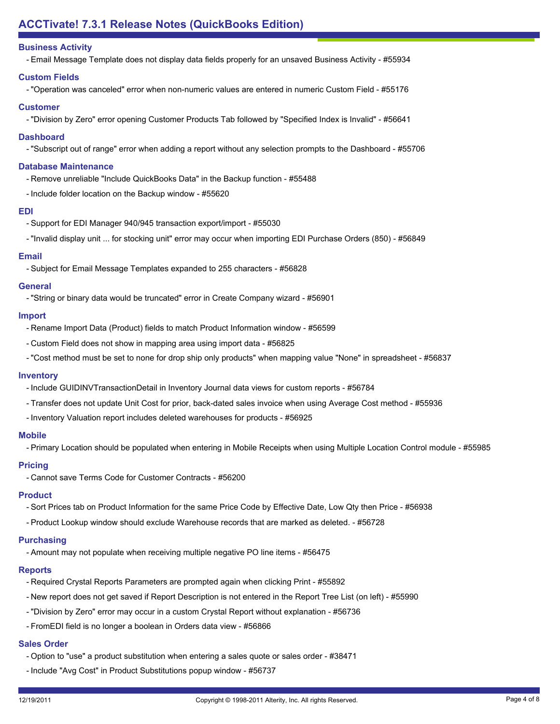# **ACCTivate! 7.3.1 Release Notes (QuickBooks Edition)**

# **Business Activity**

- Email Message Template does not display data fields properly for an unsaved Business Activity - #55934

#### **Custom Fields**

- "Operation was canceled" error when non-numeric values are entered in numeric Custom Field - #55176

#### **Customer**

- "Division by Zero" error opening Customer Products Tab followed by "Specified Index is Invalid" - #56641

#### **Dashboard**

- "Subscript out of range" error when adding a report without any selection prompts to the Dashboard - #55706

#### **Database Maintenance**

- Remove unreliable "Include QuickBooks Data" in the Backup function #55488
- Include folder location on the Backup window #55620

#### **EDI**

- Support for EDI Manager 940/945 transaction export/import #55030
- "Invalid display unit ... for stocking unit" error may occur when importing EDI Purchase Orders (850) #56849

#### **Email**

- Subject for Email Message Templates expanded to 255 characters - #56828

#### **General**

- "String or binary data would be truncated" error in Create Company wizard - #56901

#### **Import**

- Rename Import Data (Product) fields to match Product Information window #56599
- Custom Field does not show in mapping area using import data #56825
- "Cost method must be set to none for drop ship only products" when mapping value "None" in spreadsheet #56837

#### **Inventory**

- Include GUIDINVTransactionDetail in Inventory Journal data views for custom reports #56784
- Transfer does not update Unit Cost for prior, back-dated sales invoice when using Average Cost method #55936
- Inventory Valuation report includes deleted warehouses for products #56925

#### **Mobile**

- Primary Location should be populated when entering in Mobile Receipts when using Multiple Location Control module - #55985

# **Pricing**

- Cannot save Terms Code for Customer Contracts - #56200

#### **Product**

- Sort Prices tab on Product Information for the same Price Code by Effective Date, Low Qty then Price #56938
- Product Lookup window should exclude Warehouse records that are marked as deleted. #56728

#### **Purchasing**

- Amount may not populate when receiving multiple negative PO line items - #56475

#### **Reports**

- Required Crystal Reports Parameters are prompted again when clicking Print #55892
- New report does not get saved if Report Description is not entered in the Report Tree List (on left) #55990
- "Division by Zero" error may occur in a custom Crystal Report without explanation #56736
- FromEDI field is no longer a boolean in Orders data view #56866

#### **Sales Order**

- Option to "use" a product substitution when entering a sales quote or sales order #38471
- Include "Avg Cost" in Product Substitutions popup window #56737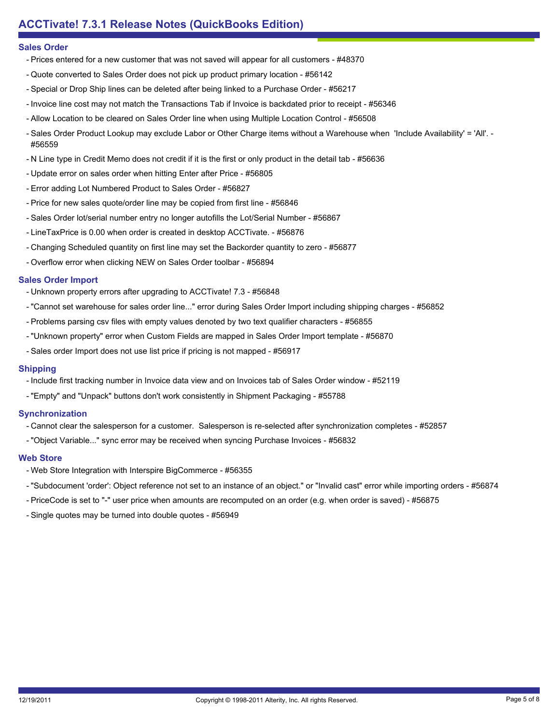#### **Sales Order**

- Prices entered for a new customer that was not saved will appear for all customers #48370
- Quote converted to Sales Order does not pick up product primary location #56142
- Special or Drop Ship lines can be deleted after being linked to a Purchase Order #56217
- Invoice line cost may not match the Transactions Tab if Invoice is backdated prior to receipt #56346
- Allow Location to be cleared on Sales Order line when using Multiple Location Control #56508
- Sales Order Product Lookup may exclude Labor or Other Charge items without a Warehouse when l'nclude Availability' = 'All'. -#56559
- N Line type in Credit Memo does not credit if it is the first or only product in the detail tab #56636
- Update error on sales order when hitting Enter after Price #56805
- Error adding Lot Numbered Product to Sales Order #56827
- Price for new sales quote/order line may be copied from first line #56846
- Sales Order lot/serial number entry no longer autofills the Lot/Serial Number #56867
- LineTaxPrice is 0.00 when order is created in desktop ACCTivate. #56876
- Changing Scheduled quantity on first line may set the Backorder quantity to zero #56877
- Overflow error when clicking NEW on Sales Order toolbar #56894

#### **Sales Order Import**

- Unknown property errors after upgrading to ACCTivate! 7.3 #56848
- "Cannot set warehouse for sales order line..." error during Sales Order Import including shipping charges #56852
- Problems parsing csv files with empty values denoted by two text qualifier characters #56855
- "Unknown property" error when Custom Fields are mapped in Sales Order Import template #56870
- Sales order Import does not use list price if pricing is not mapped #56917

#### **Shipping**

- Include first tracking number in Invoice data view and on Invoices tab of Sales Order window #52119
- "Empty" and "Unpack" buttons don't work consistently in Shipment Packaging #55788

#### **Synchronization**

- Cannot clear the salesperson for a customer. Salesperson is re-selected after synchronization completes #52857
- "Object Variable..." sync error may be received when syncing Purchase Invoices #56832

#### **Web Store**

- Web Store Integration with Interspire BigCommerce #56355
- "Subdocument 'order': Object reference not set to an instance of an object." or "Invalid cast" error while importing orders #56874
- PriceCode is set to "-" user price when amounts are recomputed on an order (e.g. when order is saved) #56875
- Single quotes may be turned into double quotes #56949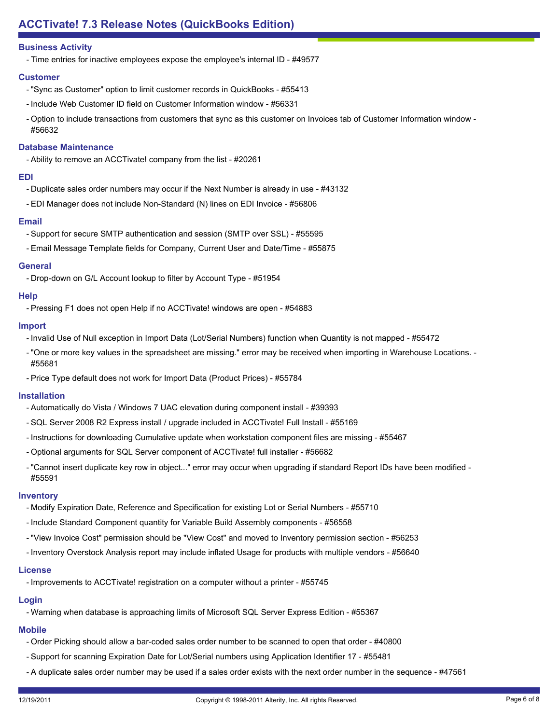# **Business Activity**

- Time entries for inactive employees expose the employee's internal ID - #49577

#### **Customer**

- "Sync as Customer" option to limit customer records in QuickBooks #55413
- Include Web Customer ID field on Customer Information window #56331
- Option to include transactions from customers that sync as this customer on Invoices tab of Customer Information window -#56632

#### **Database Maintenance**

- Ability to remove an ACCTivate! company from the list - #20261

#### **EDI**

- Duplicate sales order numbers may occur if the Next Number is already in use #43132
- EDI Manager does not include Non-Standard (N) lines on EDI Invoice #56806

#### **Email**

- Support for secure SMTP authentication and session (SMTP over SSL) #55595
- Email Message Template fields for Company, Current User and Date/Time #55875

#### **General**

- Drop-down on G/L Account lookup to filter by Account Type - #51954

#### **Help**

- Pressing F1 does not open Help if no ACCTivate! windows are open - #54883

#### **Import**

- Invalid Use of Null exception in Import Data (Lot/Serial Numbers) function when Quantity is not mapped #55472
- "One or more key values in the spreadsheet are missing." error may be received when importing in Warehouse Locations. -#55681
- Price Type default does not work for Import Data (Product Prices) #55784

#### **Installation**

- Automatically do Vista / Windows 7 UAC elevation during component install #39393
- SQL Server 2008 R2 Express install / upgrade included in ACCTivate! Full Install #55169
- Instructions for downloading Cumulative update when workstation component files are missing #55467
- Optional arguments for SQL Server component of ACCTivate! full installer #56682
- "Cannot insert duplicate key row in object..." error may occur when upgrading if standard Report IDs have been modified -#55591

#### **Inventory**

- Modify Expiration Date, Reference and Specification for existing Lot or Serial Numbers #55710
- Include Standard Component quantity for Variable Build Assembly components #56558
- "View Invoice Cost" permission should be "View Cost" and moved to Inventory permission section #56253
- Inventory Overstock Analysis report may include inflated Usage for products with multiple vendors #56640

#### **License**

- Improvements to ACCTivate! registration on a computer without a printer - #55745

# **Login**

- Warning when database is approaching limits of Microsoft SQL Server Express Edition - #55367

# **Mobile**

- Order Picking should allow a bar-coded sales order number to be scanned to open that order #40800
- Support for scanning Expiration Date for Lot/Serial numbers using Application Identifier 17 #55481
- A duplicate sales order number may be used if a sales order exists with the next order number in the sequence #47561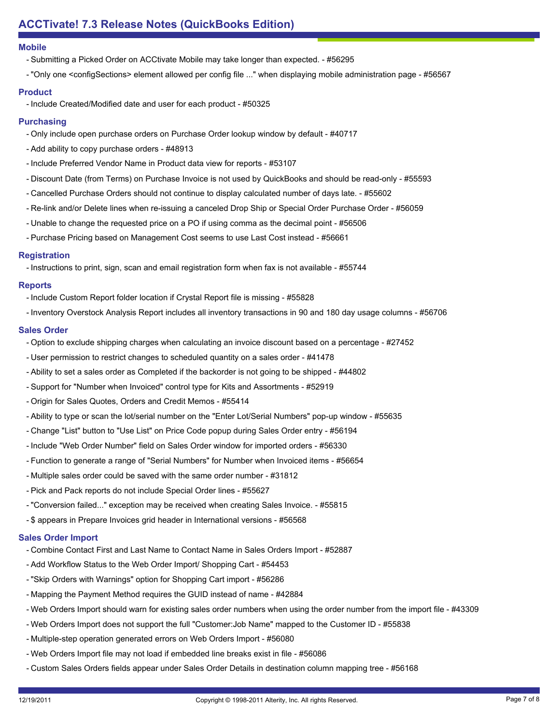#### **Mobile**

- Submitting a Picked Order on ACCtivate Mobile may take longer than expected. #56295
- "Only one <configSections> element allowed per config file ..." when displaying mobile administration page #56567

# **Product**

- Include Created/Modified date and user for each product - #50325

# **Purchasing**

- Only include open purchase orders on Purchase Order lookup window by default #40717
- Add ability to copy purchase orders #48913
- Include Preferred Vendor Name in Product data view for reports #53107
- Discount Date (from Terms) on Purchase Invoice is not used by QuickBooks and should be read-only #55593
- Cancelled Purchase Orders should not continue to display calculated number of days late. #55602
- Re-link and/or Delete lines when re-issuing a canceled Drop Ship or Special Order Purchase Order #56059
- Unable to change the requested price on a PO if using comma as the decimal point #56506
- Purchase Pricing based on Management Cost seems to use Last Cost instead #56661

# **Registration**

- Instructions to print, sign, scan and email registration form when fax is not available - #55744

# **Reports**

- Include Custom Report folder location if Crystal Report file is missing #55828
- Inventory Overstock Analysis Report includes all inventory transactions in 90 and 180 day usage columns #56706

# **Sales Order**

- Option to exclude shipping charges when calculating an invoice discount based on a percentage #27452
- User permission to restrict changes to scheduled quantity on a sales order #41478
- Ability to set a sales order as Completed if the backorder is not going to be shipped #44802
- Support for "Number when Invoiced" control type for Kits and Assortments #52919
- Origin for Sales Quotes, Orders and Credit Memos #55414
- Ability to type or scan the lot/serial number on the "Enter Lot/Serial Numbers" pop-up window #55635
- Change "List" button to "Use List" on Price Code popup during Sales Order entry #56194
- Include "Web Order Number" field on Sales Order window for imported orders #56330
- Function to generate a range of "Serial Numbers" for Number when Invoiced items #56654
- Multiple sales order could be saved with the same order number #31812
- Pick and Pack reports do not include Special Order lines #55627
- "Conversion failed..." exception may be received when creating Sales Invoice. #55815
- \$ appears in Prepare Invoices grid header in International versions #56568

# **Sales Order Import**

- Combine Contact First and Last Name to Contact Name in Sales Orders Import #52887
- Add Workflow Status to the Web Order Import/ Shopping Cart #54453
- "Skip Orders with Warnings" option for Shopping Cart import #56286
- Mapping the Payment Method requires the GUID instead of name #42884
- Web Orders Import should warn for existing sales order numbers when using the order number from the import file #43309
- Web Orders Import does not support the full "Customer:Job Name" mapped to the Customer ID #55838
- Multiple-step operation generated errors on Web Orders Import #56080
- Web Orders Import file may not load if embedded line breaks exist in file #56086
- Custom Sales Orders fields appear under Sales Order Details in destination column mapping tree #56168